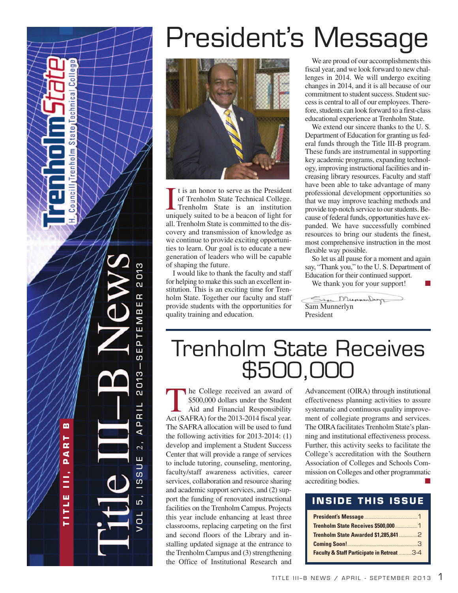m **T I T L E I I I , P A R T B**  $\alpha$  $\blacktriangleleft$  $\overline{\mathbf{a}}$ Ξ ш T IT L

 $\overline{\circ}$ 

**ca** 

Techn

[ate] ō

ITrenholm

puncil

S V O L 5 , I S S U E 2 , A P R I L 2 013 — S E P T E M B E R 2 013 D1 ณ Œ ш  $\mathbf{m}$  $\geq$ ш  $\overline{F}$ ш ທ Π  $D13$  $\overline{\mathbf{c}}$ J.  $\frac{1}{15}$  $\overline{\mathbf{a}}$ ∢  $\overline{2}$ Ш  $\Box$ ທ  $\overline{u}$ מו

 $\overline{O}$ 

# President's Message



I t is an honor to serve as the President<br>of Trenholm State Technical College.<br>Trenholm State is an institution<br>uniquely suited to be a beacon of light for t is an honor to serve as the President of Trenholm State Technical College. Trenholm State is an institution all. Trenholm State is committed to the discovery and transmission of knowledge as we continue to provide exciting opportunities to learn. Our goal is to educate a new generation of leaders who will be capable of shaping the future.

I would like to thank the faculty and staff for helping to make this such an excellent institution. This is an exciting time for Trenholm State. Together our faculty and staff provide students with the opportunities for quality training and education.

We are proud of our accomplishments this fiscal year, and we look forward to new challenges in 2014. We will undergo exciting changes in 2014, and it is all because of our commitment to student success. Student success is central to all of our employees. Therefore, students can look forward to a first-class educational experience at Trenholm State.

We extend our sincere thanks to the U. S. Department of Education for granting us federal funds through the Title III-B program. These funds are instrumental in supporting key academic programs, expanding technology, improving instructional facilities and increasing library resources. Faculty and staff have been able to take advantage of many professional development opportunities so that we may improve teaching methods and provide top-notch service to our students. Because of federal funds, opportunities have expanded. We have successfully combined resources to bring our students the finest, most comprehensive instruction in the most flexible way possible.

So let us all pause for a moment and again say, "Thank you," to the U. S. Department of Education for their continued support. **■**

We thank you for your support!

Sam Munnerburg Sam Munnerlyn President

# Trenholm State Receives \$500,000

The College received an award of \$500,000 dollars under the Student Aid and Financial Responsibility Act (SAFRA) for the 2013-2014 fiscal year. The SAFRA allocation will be used to fund the following activities for 2013-2014: (1) develop and implement a Student Success Center that will provide a range of services to include tutoring, counseling, mentoring, faculty/staff awareness activities, career services, collaboration and resource sharing and academic support services, and (2) support the funding of renovated instructional facilities on the Trenholm Campus. Projects this year include enhancing at least three classrooms, replacing carpeting on the first and second floors of the Library and installing updated signage at the entrance to the Trenholm Campus and (3) strengthening the Office of Institutional Research and

Advancement (OIRA) through institutional effectiveness planning activities to assure systematic and continuous quality improvement of collegiate programs and services. The OIRA facilitates Trenholm State's planning and institutional effectiveness process. Further, this activity seeks to facilitate the College's accreditation with the Southern Association of Colleges and Schools Commission on Colleges and other programmatic accrediting bodies. **■**

#### **INSIDE THIS ISSUE**

| Faculty & Staff Participate in Retreat 3-4 |  |
|--------------------------------------------|--|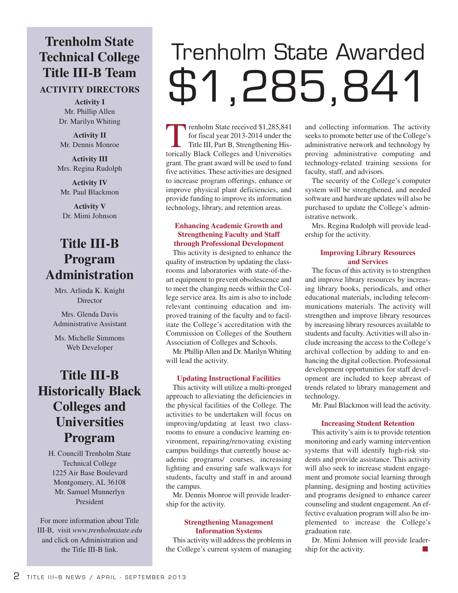## **Trenholm State Technical College Title III-B Team**

#### **ACTIVITY DIRECTORS**

**Activity I** Mr. Phillip Allen Dr. Marilyn Whiting

**Activity II** Mr. Dennis Monroe

**Activity III** Mrs. Regina Rudolph

**Activity IV** Mr. Paul Blackmon

**Activity V** Dr. Mimi Johnson

### **Title III-B Program Administration**

Mrs. Arlinda K. Knight **Director** 

Mrs. Glenda Davis Administrative Assistant

Ms. Michelle Simmons Web Developer

## **Title III-B Historically Black Colleges and Universities Program**

H. Councill Trenholm State Technical College 1225 Air Base Boulevard Montgomery, AL 36108 Mr. Samuel Munnerlyn President

For more information about Title III-B, visit *www.trenholmstate.edu* and click on Administration and the Title III-B link.

# Trenholm State Awarded \$1,285,841

renholm State received \$1,285,841<br>for fiscal year 2013-2014 under the<br>Title III, Part B, Strengthening His-<br>torically Black Colleges and Universities for fiscal year 2013-2014 under the Title III, Part B, Strengthening Historically Black Colleges and Universities grant. The grant award will be used to fund five activities. These activities are designed to increase program offerings, enhance or improve physical plant deficiencies, and provide funding to improve its information technology, library, and retention areas.

#### **Enhancing Academic Growth and Strengthening Faculty and Staff through Professional Development**

This activity is designed to enhance the quality of instruction by updating the classrooms and laboratories with state-of-theart equipment to prevent obsolescence and to meet the changing needs within the College service area. Its aim is also to include relevant continuing education and improved training of the faculty and to facilitate the College's accreditation with the Commission on Colleges of the Southern Association of Colleges and Schools.

Mr. PhillipAllen and Dr. Marilyn Whiting will lead the activity.

#### **Updating Instructional Facilities**

This activity will utilize a multi-pronged approach to alleviating the deficiencies in the physical facilities of the College. The activities to be undertaken will focus on improving/updating at least two classrooms to ensure a conducive learning environment, repairing/renovating existing campus buildings that currently house academic programs/ courses, increasing lighting and ensuring safe walkways for students, faculty and staff in and around the campus.

Mr. Dennis Monroe will provide leadership for the activity.

#### **Strengthening Management Information Systems**

This activity will address the problems in the College's current system of managing and collecting information. The activity seeks to promote better use of the College's administrative network and technology by proving administrative computing and technology-related training sessions for faculty, staff, and advisors.

The security of the College's computer system will be strengthened, and needed software and hardware updates will also be purchased to update the College's administrative network.

Mrs. Regina Rudolph will provide leadership for the activity.

#### **Improving Library Resources and Services**

The focus of this activity is to strengthen and improve library resources by increasing library books, periodicals, and other educational materials, including telecommunications materials. The activity will strengthen and improve library resources by increasing library resources available to students and faculty. Activities will also include increasing the access to the College's archival collection by adding to and enhancing the digital collection. Professional development opportunities for staff development are included to keep abreast of trends related to library management and technology.

Mr. Paul Blackmon will lead the activity.

#### **Increasing Student Retention**

This activity's aim is to provide retention monitoring and early warning intervention systems that will identify high-risk students and provide assistance. This activity will also seek to increase student engagement and promote social learning through planning, designing and hosting activities and programs designed to enhance career counseling and student engagement. An effective evaluation program will also be implemented to increase the College's graduation rate.

Dr. Mimi Johnson will provide leadership for the activity. **■**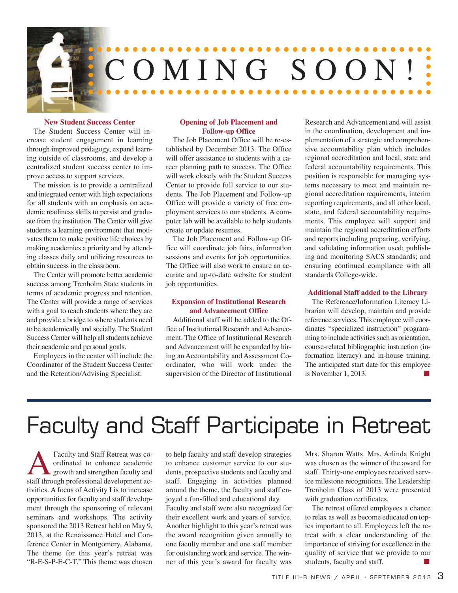

#### **New Student Success Center**

The Student Success Center will increase student engagement in learning through improved pedagogy, expand learning outside of classrooms, and develop a centralized student success center to improve access to support services.

The mission is to provide a centralized and integrated center with high expectations for all students with an emphasis on academic readiness skills to persist and graduate from the institution. The Center will give students a learning environment that motivates them to make positive life choices by making academics a priority and by attending classes daily and utilizing resources to obtain success in the classroom.

The Center will promote better academic success among Trenholm State students in terms of academic progress and retention. The Center will provide a range of services with a goal to reach students where they are and provide a bridge to where students need to be academically and socially. The Student Success Center will help all students achieve their academic and personal goals.

Employees in the center will include the Coordinator of the Student Success Center and the Retention/Advising Specialist.

#### **Opening of Job Placement and Follow-up Office**

The Job Placement Office will be re-established by December 2013. The Office will offer assistance to students with a career planning path to success. The Office will work closely with the Student Success Center to provide full service to our students. The Job Placement and Follow-up Office will provide a variety of free employment services to our students. A computer lab will be available to help students create or update resumes.

The Job Placement and Follow-up Office will coordinate job fairs, information sessions and events for job opportunities. The Office will also work to ensure an accurate and up-to-date website for student job opportunities.

#### **Expansion of Institutional Research and Advancement Office**

Additional staff will be added to the Office of Institutional Research and Advancement. The Office of Institutional Research and Advancement will be expanded by hiring an Accountability and Assessment Coordinator, who will work under the supervision of the Director of Institutional Research and Advancement and will assist in the coordination, development and implementation of a strategic and comprehensive accountability plan which includes regional accreditation and local, state and federal accountability requirements. This position is responsible for managing systems necessary to meet and maintain regional accreditation requirements, interim reporting requirements, and all other local, state, and federal accountability requirements. This employee will support and maintain the regional accreditation efforts and reports including preparing, verifying, and validating information used; publishing and monitoring SACS standards; and ensuring continued compliance with all standards College-wide.

#### **Additional Staff added to the Library**

The Reference/Information Literacy Librarian will develop, maintain and provide reference services. This employee will coordinates "specialized instruction" programming to include activities such as orientation, course-related bibliographic instruction (information literacy) and in-house training. The anticipated start date for this employee is November 1, 2013. **■**

# Faculty and Staff Participate in Retreat

**AFaculty and Staff Retreat was co-**<br>ordinated to enhance academic<br>staff through professional development acordinated to enhance academic growth and strengthen faculty and tivities. A focus of Activity I is to increase opportunities for faculty and staff development through the sponsoring of relevant seminars and workshops. The activity sponsored the 2013 Retreat held on May 9, 2013, at the Renaissance Hotel and Conference Center in Montgomery, Alabama. The theme for this year's retreat was "R-E-S-P-E-C-T." This theme was chosen

to help faculty and staff develop strategies to enhance customer service to our students, prospective students and faculty and staff. Engaging in activities planned around the theme, the faculty and staff enjoyed a fun-filled and educational day. Faculty and staff were also recognized for their excellent work and years of service. Another highlight to this year's retreat was

the award recognition given annually to one faculty member and one staff member for outstanding work and service. The winner of this year's award for faculty was Mrs. Sharon Watts. Mrs. Arlinda Knight was chosen as the winner of the award for staff. Thirty-one employees received service milestone recognitions. The Leadership Trenholm Class of 2013 were presented with graduation certificates.

The retreat offered employees a chance to relax as well as become educated on topics important to all. Employees left the retreat with a clear understanding of the importance of striving for excellence in the quality of service that we provide to our students, faculty and staff. **■**